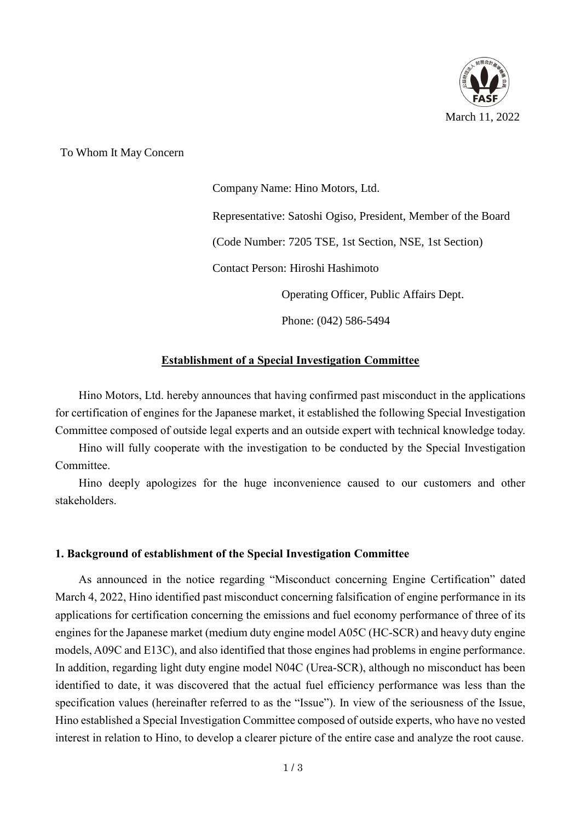

To Whom It May Concern

Company Name: Hino Motors, Ltd. Representative: Satoshi Ogiso, President, Member of the Board (Code Number: 7205 TSE, 1st Section, NSE, 1st Section) Contact Person: Hiroshi Hashimoto Operating Officer, Public Affairs Dept.

Phone: (042) 586-5494

# **Establishment of a Special Investigation Committee**

Hino Motors, Ltd. hereby announces that having confirmed past misconduct in the applications for certification of engines for the Japanese market, it established the following Special Investigation Committee composed of outside legal experts and an outside expert with technical knowledge today.

Hino will fully cooperate with the investigation to be conducted by the Special Investigation Committee.

Hino deeply apologizes for the huge inconvenience caused to our customers and other stakeholders.

### **1. Background of establishment of the Special Investigation Committee**

As announced in the notice regarding "Misconduct concerning Engine Certification" dated March 4, 2022, Hino identified past misconduct concerning falsification of engine performance in its applications for certification concerning the emissions and fuel economy performance of three of its engines for the Japanese market (medium duty engine model A05C (HC-SCR) and heavy duty engine models, A09C and E13C), and also identified that those engines had problems in engine performance. In addition, regarding light duty engine model N04C (Urea-SCR), although no misconduct has been identified to date, it was discovered that the actual fuel efficiency performance was less than the specification values (hereinafter referred to as the "Issue"). In view of the seriousness of the Issue, Hino established a Special Investigation Committee composed of outside experts, who have no vested interest in relation to Hino, to develop a clearer picture of the entire case and analyze the root cause.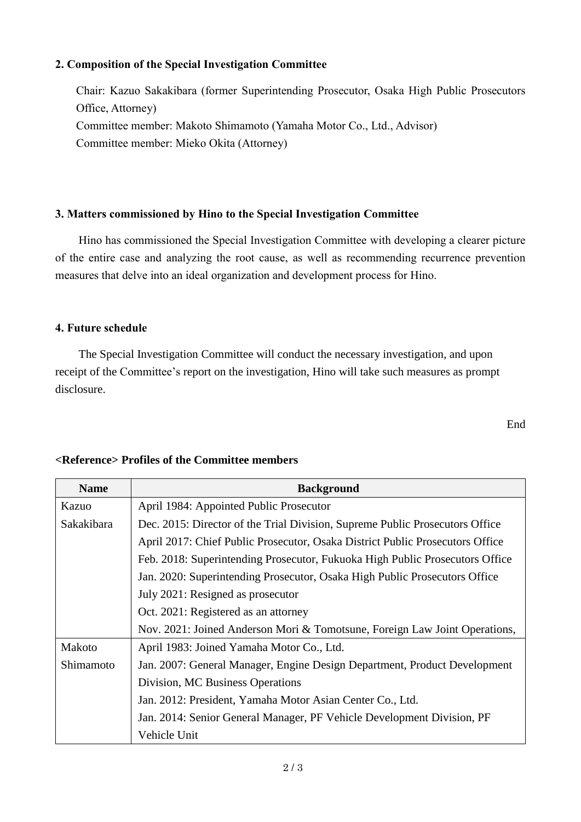## **2. Composition of the Special Investigation Committee**

Chair: Kazuo Sakakibara (former Superintending Prosecutor, Osaka High Public Prosecutors Office, Attorney) Committee member: Makoto Shimamoto (Yamaha Motor Co., Ltd., Advisor) Committee member: Mieko Okita (Attorney)

### **3. Matters commissioned by Hino to the Special Investigation Committee**

Hino has commissioned the Special Investigation Committee with developing a clearer picture of the entire case and analyzing the root cause, as well as recommending recurrence prevention measures that delve into an ideal organization and development process for Hino.

### **4. Future schedule**

The Special Investigation Committee will conduct the necessary investigation, and upon receipt of the Committee's report on the investigation, Hino will take such measures as prompt disclosure.

### **<Reference> Profiles of the Committee members**

| <b>Name</b> | <b>Background</b>                                                             |
|-------------|-------------------------------------------------------------------------------|
| Kazuo       | April 1984: Appointed Public Prosecutor                                       |
| Sakakibara  | Dec. 2015: Director of the Trial Division, Supreme Public Prosecutors Office  |
|             | April 2017: Chief Public Prosecutor, Osaka District Public Prosecutors Office |
|             | Feb. 2018: Superintending Prosecutor, Fukuoka High Public Prosecutors Office  |
|             | Jan. 2020: Superintending Prosecutor, Osaka High Public Prosecutors Office    |
|             | July 2021: Resigned as prosecutor                                             |
|             | Oct. 2021: Registered as an attorney                                          |
|             | Nov. 2021: Joined Anderson Mori & Tomotsune, Foreign Law Joint Operations,    |
| Makoto      | April 1983: Joined Yamaha Motor Co., Ltd.                                     |
| Shimamoto   | Jan. 2007: General Manager, Engine Design Department, Product Development     |
|             | Division, MC Business Operations                                              |
|             | Jan. 2012: President, Yamaha Motor Asian Center Co., Ltd.                     |
|             | Jan. 2014: Senior General Manager, PF Vehicle Development Division, PF        |
|             | Vehicle Unit                                                                  |